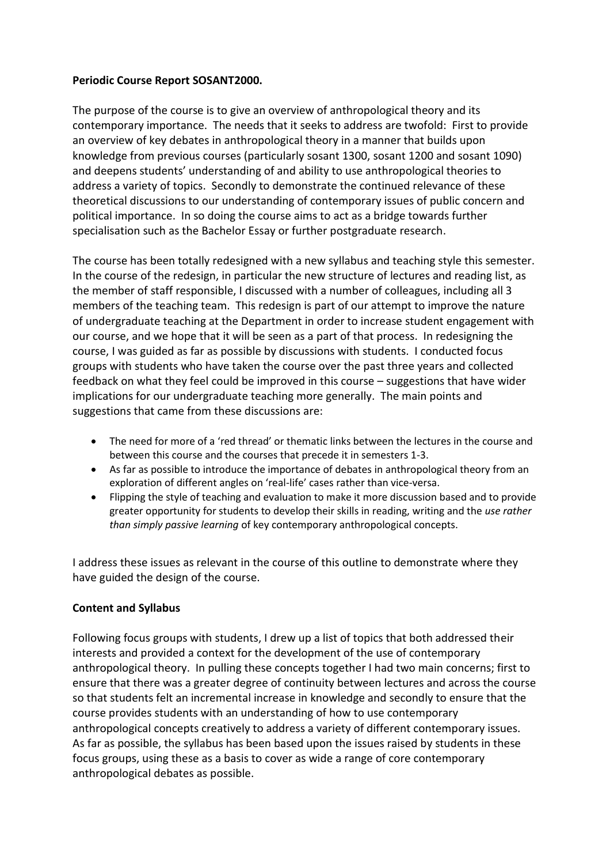### **Periodic Course Report SOSANT2000.**

The purpose of the course is to give an overview of anthropological theory and its contemporary importance. The needs that it seeks to address are twofold: First to provide an overview of key debates in anthropological theory in a manner that builds upon knowledge from previous courses (particularly sosant 1300, sosant 1200 and sosant 1090) and deepens students' understanding of and ability to use anthropological theories to address a variety of topics. Secondly to demonstrate the continued relevance of these theoretical discussions to our understanding of contemporary issues of public concern and political importance. In so doing the course aims to act as a bridge towards further specialisation such as the Bachelor Essay or further postgraduate research.

The course has been totally redesigned with a new syllabus and teaching style this semester. In the course of the redesign, in particular the new structure of lectures and reading list, as the member of staff responsible, I discussed with a number of colleagues, including all 3 members of the teaching team. This redesign is part of our attempt to improve the nature of undergraduate teaching at the Department in order to increase student engagement with our course, and we hope that it will be seen as a part of that process. In redesigning the course, I was guided as far as possible by discussions with students. I conducted focus groups with students who have taken the course over the past three years and collected feedback on what they feel could be improved in this course – suggestions that have wider implications for our undergraduate teaching more generally. The main points and suggestions that came from these discussions are:

- The need for more of a 'red thread' or thematic links between the lectures in the course and between this course and the courses that precede it in semesters 1-3.
- As far as possible to introduce the importance of debates in anthropological theory from an exploration of different angles on 'real-life' cases rather than vice-versa.
- Flipping the style of teaching and evaluation to make it more discussion based and to provide greater opportunity for students to develop their skills in reading, writing and the *use rather than simply passive learning* of key contemporary anthropological concepts.

I address these issues as relevant in the course of this outline to demonstrate where they have guided the design of the course.

# **Content and Syllabus**

Following focus groups with students, I drew up a list of topics that both addressed their interests and provided a context for the development of the use of contemporary anthropological theory. In pulling these concepts together I had two main concerns; first to ensure that there was a greater degree of continuity between lectures and across the course so that students felt an incremental increase in knowledge and secondly to ensure that the course provides students with an understanding of how to use contemporary anthropological concepts creatively to address a variety of different contemporary issues. As far as possible, the syllabus has been based upon the issues raised by students in these focus groups, using these as a basis to cover as wide a range of core contemporary anthropological debates as possible.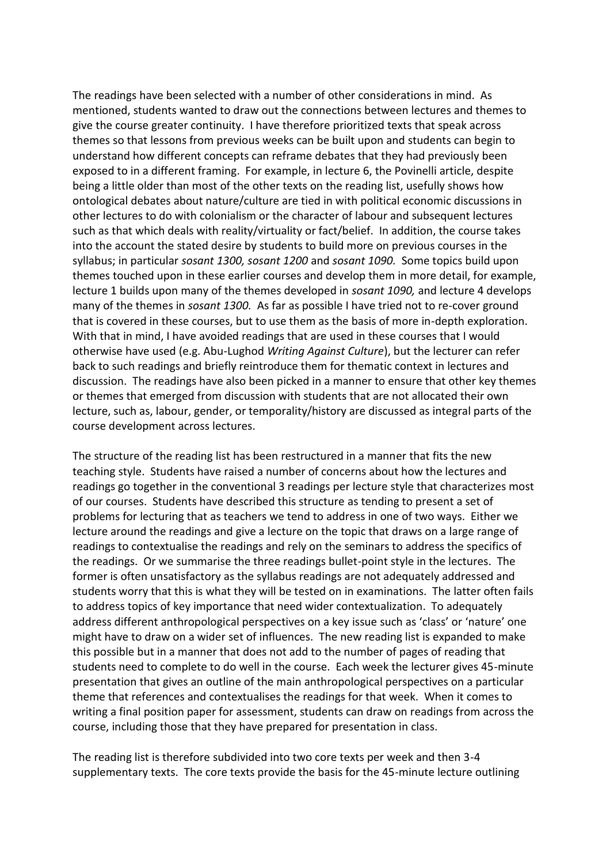The readings have been selected with a number of other considerations in mind. As mentioned, students wanted to draw out the connections between lectures and themes to give the course greater continuity. I have therefore prioritized texts that speak across themes so that lessons from previous weeks can be built upon and students can begin to understand how different concepts can reframe debates that they had previously been exposed to in a different framing. For example, in lecture 6, the Povinelli article, despite being a little older than most of the other texts on the reading list, usefully shows how ontological debates about nature/culture are tied in with political economic discussions in other lectures to do with colonialism or the character of labour and subsequent lectures such as that which deals with reality/virtuality or fact/belief. In addition, the course takes into the account the stated desire by students to build more on previous courses in the syllabus; in particular *sosant 1300, sosant 1200* and *sosant 1090.* Some topics build upon themes touched upon in these earlier courses and develop them in more detail, for example, lecture 1 builds upon many of the themes developed in *sosant 1090,* and lecture 4 develops many of the themes in *sosant 1300.* As far as possible I have tried not to re-cover ground that is covered in these courses, but to use them as the basis of more in-depth exploration. With that in mind, I have avoided readings that are used in these courses that I would otherwise have used (e.g. Abu-Lughod *Writing Against Culture*), but the lecturer can refer back to such readings and briefly reintroduce them for thematic context in lectures and discussion. The readings have also been picked in a manner to ensure that other key themes or themes that emerged from discussion with students that are not allocated their own lecture, such as, labour, gender, or temporality/history are discussed as integral parts of the course development across lectures.

The structure of the reading list has been restructured in a manner that fits the new teaching style. Students have raised a number of concerns about how the lectures and readings go together in the conventional 3 readings per lecture style that characterizes most of our courses. Students have described this structure as tending to present a set of problems for lecturing that as teachers we tend to address in one of two ways. Either we lecture around the readings and give a lecture on the topic that draws on a large range of readings to contextualise the readings and rely on the seminars to address the specifics of the readings. Or we summarise the three readings bullet-point style in the lectures. The former is often unsatisfactory as the syllabus readings are not adequately addressed and students worry that this is what they will be tested on in examinations. The latter often fails to address topics of key importance that need wider contextualization. To adequately address different anthropological perspectives on a key issue such as 'class' or 'nature' one might have to draw on a wider set of influences. The new reading list is expanded to make this possible but in a manner that does not add to the number of pages of reading that students need to complete to do well in the course. Each week the lecturer gives 45-minute presentation that gives an outline of the main anthropological perspectives on a particular theme that references and contextualises the readings for that week. When it comes to writing a final position paper for assessment, students can draw on readings from across the course, including those that they have prepared for presentation in class.

The reading list is therefore subdivided into two core texts per week and then 3-4 supplementary texts. The core texts provide the basis for the 45-minute lecture outlining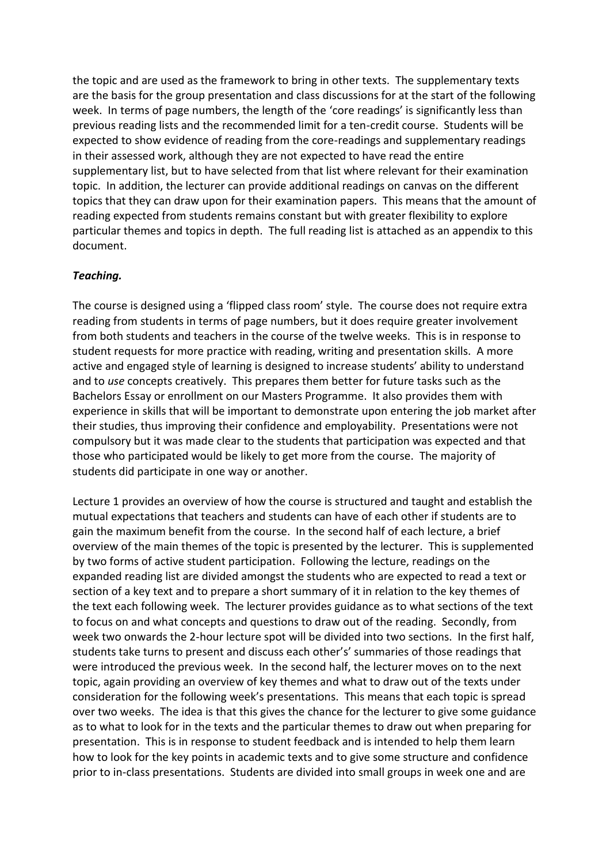the topic and are used as the framework to bring in other texts. The supplementary texts are the basis for the group presentation and class discussions for at the start of the following week. In terms of page numbers, the length of the 'core readings' is significantly less than previous reading lists and the recommended limit for a ten-credit course. Students will be expected to show evidence of reading from the core-readings and supplementary readings in their assessed work, although they are not expected to have read the entire supplementary list, but to have selected from that list where relevant for their examination topic. In addition, the lecturer can provide additional readings on canvas on the different topics that they can draw upon for their examination papers. This means that the amount of reading expected from students remains constant but with greater flexibility to explore particular themes and topics in depth. The full reading list is attached as an appendix to this document.

## *Teaching.*

The course is designed using a 'flipped class room' style. The course does not require extra reading from students in terms of page numbers, but it does require greater involvement from both students and teachers in the course of the twelve weeks. This is in response to student requests for more practice with reading, writing and presentation skills. A more active and engaged style of learning is designed to increase students' ability to understand and to *use* concepts creatively. This prepares them better for future tasks such as the Bachelors Essay or enrollment on our Masters Programme. It also provides them with experience in skills that will be important to demonstrate upon entering the job market after their studies, thus improving their confidence and employability. Presentations were not compulsory but it was made clear to the students that participation was expected and that those who participated would be likely to get more from the course. The majority of students did participate in one way or another.

Lecture 1 provides an overview of how the course is structured and taught and establish the mutual expectations that teachers and students can have of each other if students are to gain the maximum benefit from the course. In the second half of each lecture, a brief overview of the main themes of the topic is presented by the lecturer. This is supplemented by two forms of active student participation. Following the lecture, readings on the expanded reading list are divided amongst the students who are expected to read a text or section of a key text and to prepare a short summary of it in relation to the key themes of the text each following week. The lecturer provides guidance as to what sections of the text to focus on and what concepts and questions to draw out of the reading. Secondly, from week two onwards the 2-hour lecture spot will be divided into two sections. In the first half, students take turns to present and discuss each other's' summaries of those readings that were introduced the previous week. In the second half, the lecturer moves on to the next topic, again providing an overview of key themes and what to draw out of the texts under consideration for the following week's presentations. This means that each topic is spread over two weeks. The idea is that this gives the chance for the lecturer to give some guidance as to what to look for in the texts and the particular themes to draw out when preparing for presentation. This is in response to student feedback and is intended to help them learn how to look for the key points in academic texts and to give some structure and confidence prior to in-class presentations. Students are divided into small groups in week one and are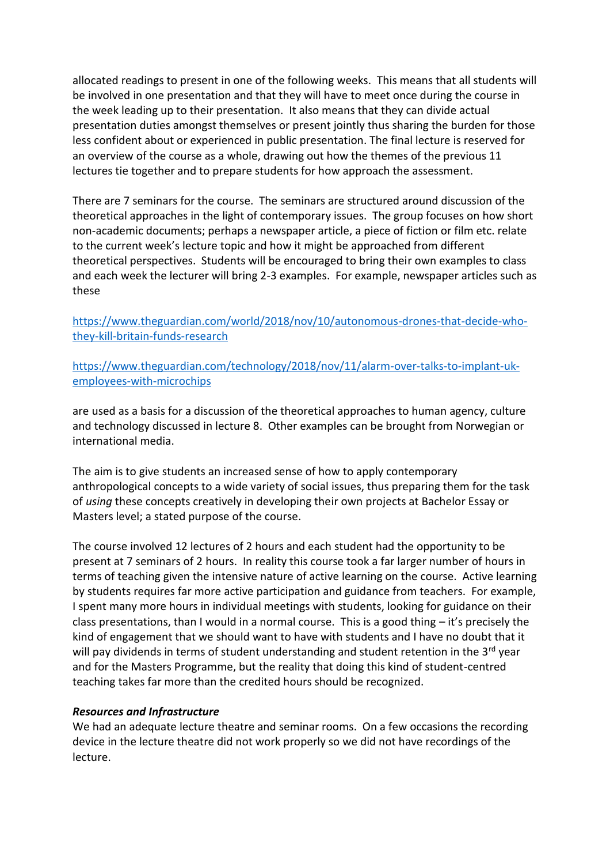allocated readings to present in one of the following weeks. This means that all students will be involved in one presentation and that they will have to meet once during the course in the week leading up to their presentation. It also means that they can divide actual presentation duties amongst themselves or present jointly thus sharing the burden for those less confident about or experienced in public presentation. The final lecture is reserved for an overview of the course as a whole, drawing out how the themes of the previous 11 lectures tie together and to prepare students for how approach the assessment.

There are 7 seminars for the course. The seminars are structured around discussion of the theoretical approaches in the light of contemporary issues. The group focuses on how short non-academic documents; perhaps a newspaper article, a piece of fiction or film etc. relate to the current week's lecture topic and how it might be approached from different theoretical perspectives. Students will be encouraged to bring their own examples to class and each week the lecturer will bring 2-3 examples. For example, newspaper articles such as these

[https://www.theguardian.com/world/2018/nov/10/autonomous-drones-that-decide-who](https://www.theguardian.com/world/2018/nov/10/autonomous-drones-that-decide-who-they-kill-britain-funds-research)[they-kill-britain-funds-research](https://www.theguardian.com/world/2018/nov/10/autonomous-drones-that-decide-who-they-kill-britain-funds-research)

[https://www.theguardian.com/technology/2018/nov/11/alarm-over-talks-to-implant-uk](https://www.theguardian.com/technology/2018/nov/11/alarm-over-talks-to-implant-uk-employees-with-microchips)[employees-with-microchips](https://www.theguardian.com/technology/2018/nov/11/alarm-over-talks-to-implant-uk-employees-with-microchips)

are used as a basis for a discussion of the theoretical approaches to human agency, culture and technology discussed in lecture 8. Other examples can be brought from Norwegian or international media.

The aim is to give students an increased sense of how to apply contemporary anthropological concepts to a wide variety of social issues, thus preparing them for the task of *using* these concepts creatively in developing their own projects at Bachelor Essay or Masters level; a stated purpose of the course.

The course involved 12 lectures of 2 hours and each student had the opportunity to be present at 7 seminars of 2 hours. In reality this course took a far larger number of hours in terms of teaching given the intensive nature of active learning on the course. Active learning by students requires far more active participation and guidance from teachers. For example, I spent many more hours in individual meetings with students, looking for guidance on their class presentations, than I would in a normal course. This is a good thing – it's precisely the kind of engagement that we should want to have with students and I have no doubt that it will pay dividends in terms of student understanding and student retention in the 3<sup>rd</sup> year and for the Masters Programme, but the reality that doing this kind of student-centred teaching takes far more than the credited hours should be recognized.

# *Resources and Infrastructure*

We had an adequate lecture theatre and seminar rooms. On a few occasions the recording device in the lecture theatre did not work properly so we did not have recordings of the lecture.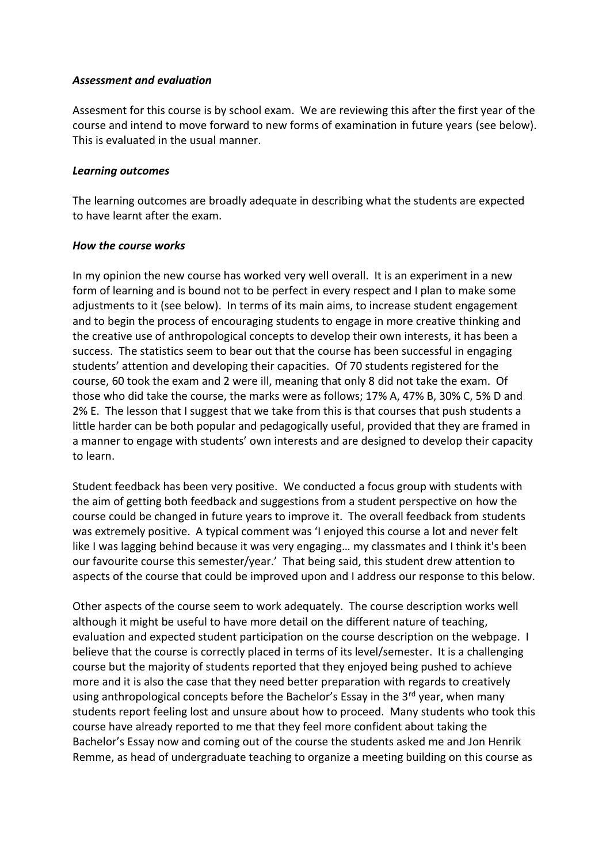#### *Assessment and evaluation*

Assesment for this course is by school exam. We are reviewing this after the first year of the course and intend to move forward to new forms of examination in future years (see below). This is evaluated in the usual manner.

### *Learning outcomes*

The learning outcomes are broadly adequate in describing what the students are expected to have learnt after the exam.

## *How the course works*

In my opinion the new course has worked very well overall. It is an experiment in a new form of learning and is bound not to be perfect in every respect and I plan to make some adjustments to it (see below). In terms of its main aims, to increase student engagement and to begin the process of encouraging students to engage in more creative thinking and the creative use of anthropological concepts to develop their own interests, it has been a success. The statistics seem to bear out that the course has been successful in engaging students' attention and developing their capacities. Of 70 students registered for the course, 60 took the exam and 2 were ill, meaning that only 8 did not take the exam. Of those who did take the course, the marks were as follows; 17% A, 47% B, 30% C, 5% D and 2% E. The lesson that I suggest that we take from this is that courses that push students a little harder can be both popular and pedagogically useful, provided that they are framed in a manner to engage with students' own interests and are designed to develop their capacity to learn.

Student feedback has been very positive. We conducted a focus group with students with the aim of getting both feedback and suggestions from a student perspective on how the course could be changed in future years to improve it. The overall feedback from students was extremely positive. A typical comment was 'I enjoyed this course a lot and never felt like I was lagging behind because it was very engaging… my classmates and I think it's been our favourite course this semester/year.' That being said, this student drew attention to aspects of the course that could be improved upon and I address our response to this below.

Other aspects of the course seem to work adequately. The course description works well although it might be useful to have more detail on the different nature of teaching, evaluation and expected student participation on the course description on the webpage. I believe that the course is correctly placed in terms of its level/semester. It is a challenging course but the majority of students reported that they enjoyed being pushed to achieve more and it is also the case that they need better preparation with regards to creatively using anthropological concepts before the Bachelor's Essay in the 3<sup>rd</sup> year, when many students report feeling lost and unsure about how to proceed. Many students who took this course have already reported to me that they feel more confident about taking the Bachelor's Essay now and coming out of the course the students asked me and Jon Henrik Remme, as head of undergraduate teaching to organize a meeting building on this course as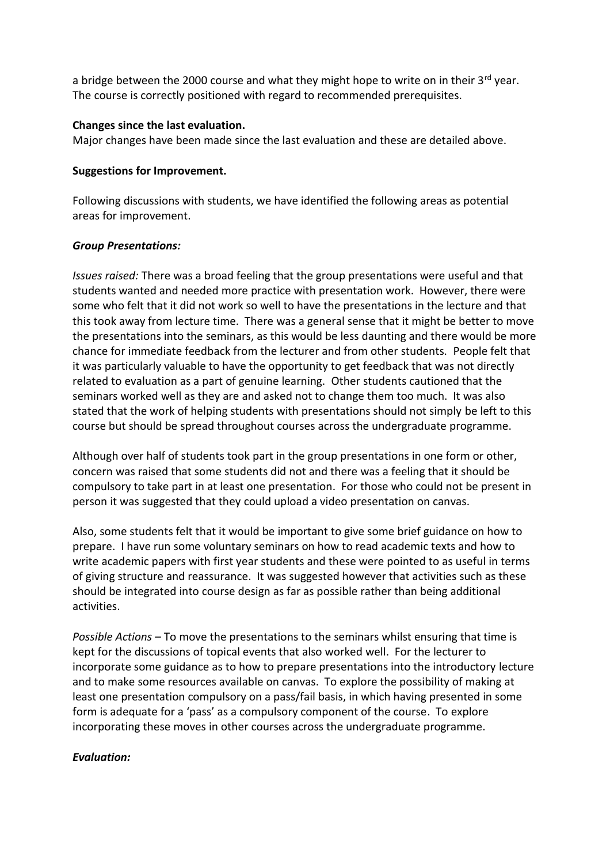a bridge between the 2000 course and what they might hope to write on in their  $3^{rd}$  year. The course is correctly positioned with regard to recommended prerequisites.

### **Changes since the last evaluation.**

Major changes have been made since the last evaluation and these are detailed above.

### **Suggestions for Improvement.**

Following discussions with students, we have identified the following areas as potential areas for improvement.

## *Group Presentations:*

*Issues raised:* There was a broad feeling that the group presentations were useful and that students wanted and needed more practice with presentation work. However, there were some who felt that it did not work so well to have the presentations in the lecture and that this took away from lecture time. There was a general sense that it might be better to move the presentations into the seminars, as this would be less daunting and there would be more chance for immediate feedback from the lecturer and from other students. People felt that it was particularly valuable to have the opportunity to get feedback that was not directly related to evaluation as a part of genuine learning. Other students cautioned that the seminars worked well as they are and asked not to change them too much. It was also stated that the work of helping students with presentations should not simply be left to this course but should be spread throughout courses across the undergraduate programme.

Although over half of students took part in the group presentations in one form or other, concern was raised that some students did not and there was a feeling that it should be compulsory to take part in at least one presentation. For those who could not be present in person it was suggested that they could upload a video presentation on canvas.

Also, some students felt that it would be important to give some brief guidance on how to prepare. I have run some voluntary seminars on how to read academic texts and how to write academic papers with first year students and these were pointed to as useful in terms of giving structure and reassurance. It was suggested however that activities such as these should be integrated into course design as far as possible rather than being additional activities.

*Possible Actions –* To move the presentations to the seminars whilst ensuring that time is kept for the discussions of topical events that also worked well. For the lecturer to incorporate some guidance as to how to prepare presentations into the introductory lecture and to make some resources available on canvas. To explore the possibility of making at least one presentation compulsory on a pass/fail basis, in which having presented in some form is adequate for a 'pass' as a compulsory component of the course. To explore incorporating these moves in other courses across the undergraduate programme.

# *Evaluation:*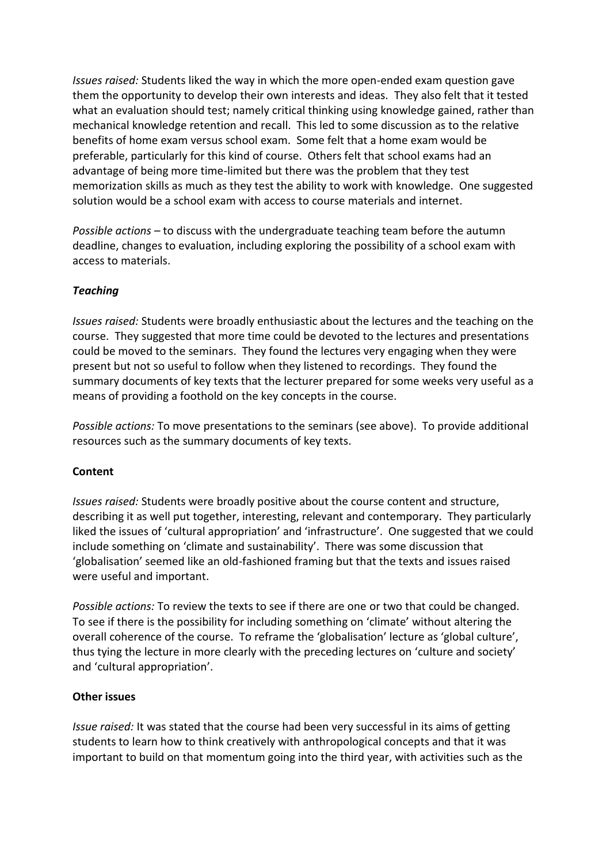*Issues raised:* Students liked the way in which the more open-ended exam question gave them the opportunity to develop their own interests and ideas. They also felt that it tested what an evaluation should test; namely critical thinking using knowledge gained, rather than mechanical knowledge retention and recall. This led to some discussion as to the relative benefits of home exam versus school exam. Some felt that a home exam would be preferable, particularly for this kind of course. Others felt that school exams had an advantage of being more time-limited but there was the problem that they test memorization skills as much as they test the ability to work with knowledge. One suggested solution would be a school exam with access to course materials and internet.

*Possible actions –* to discuss with the undergraduate teaching team before the autumn deadline, changes to evaluation, including exploring the possibility of a school exam with access to materials.

# *Teaching*

*Issues raised:* Students were broadly enthusiastic about the lectures and the teaching on the course. They suggested that more time could be devoted to the lectures and presentations could be moved to the seminars. They found the lectures very engaging when they were present but not so useful to follow when they listened to recordings. They found the summary documents of key texts that the lecturer prepared for some weeks very useful as a means of providing a foothold on the key concepts in the course.

*Possible actions:* To move presentations to the seminars (see above). To provide additional resources such as the summary documents of key texts.

#### **Content**

*Issues raised:* Students were broadly positive about the course content and structure, describing it as well put together, interesting, relevant and contemporary. They particularly liked the issues of 'cultural appropriation' and 'infrastructure'. One suggested that we could include something on 'climate and sustainability'. There was some discussion that 'globalisation' seemed like an old-fashioned framing but that the texts and issues raised were useful and important.

*Possible actions:* To review the texts to see if there are one or two that could be changed. To see if there is the possibility for including something on 'climate' without altering the overall coherence of the course. To reframe the 'globalisation' lecture as 'global culture', thus tying the lecture in more clearly with the preceding lectures on 'culture and society' and 'cultural appropriation'.

#### **Other issues**

*Issue raised:* It was stated that the course had been very successful in its aims of getting students to learn how to think creatively with anthropological concepts and that it was important to build on that momentum going into the third year, with activities such as the